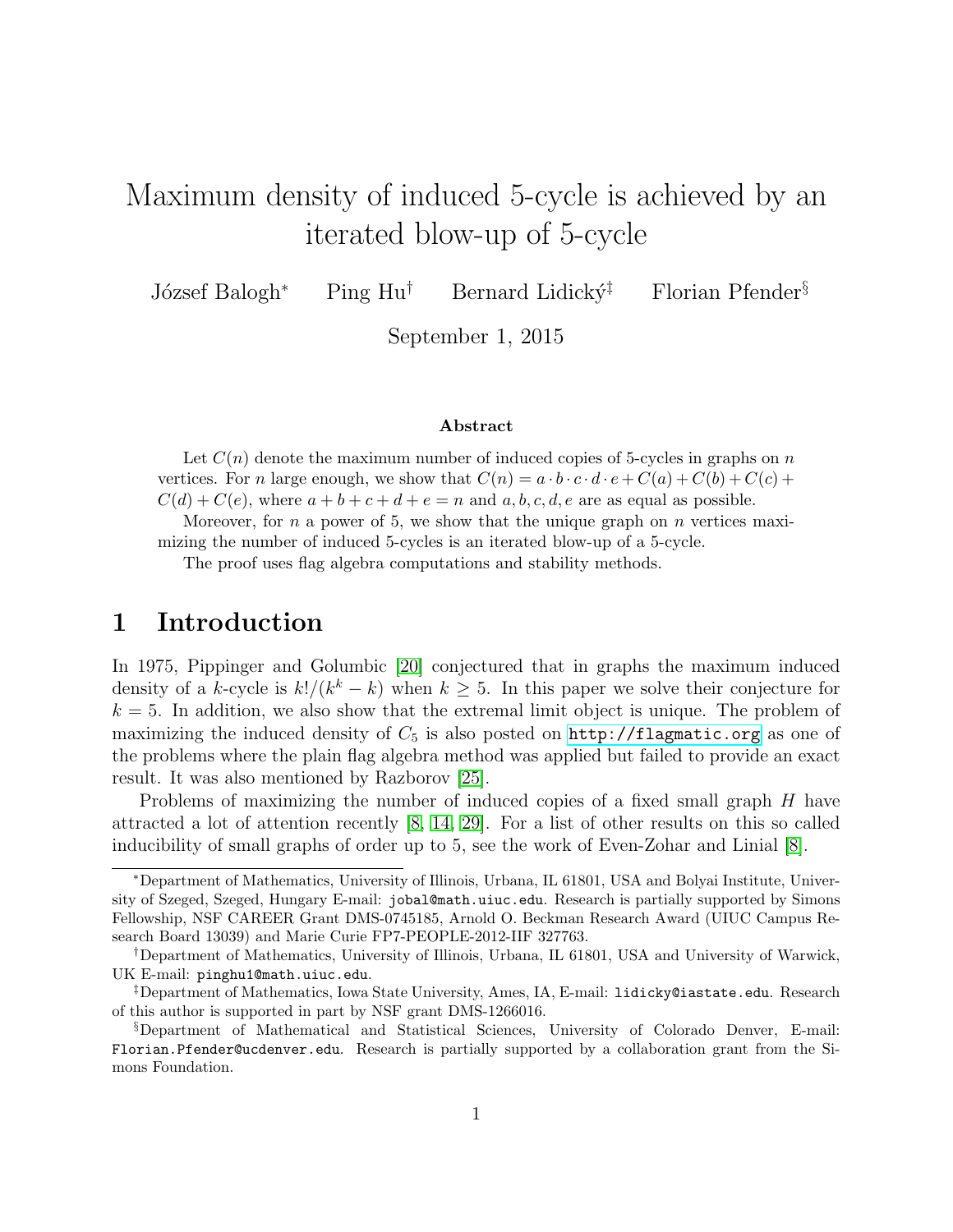# Maximum density of induced 5-cycle is achieved by an iterated blow-up of 5-cycle

József Balogh<sup>∗</sup> Ping Hu<sup>†</sup> Bernard Lidický<sup>‡</sup> Florian Pfender<sup>§</sup>

September 1, 2015

#### Abstract

Let  $C(n)$  denote the maximum number of induced copies of 5-cycles in graphs on n vertices. For n large enough, we show that  $C(n) = a \cdot b \cdot c \cdot d \cdot e + C(a) + C(b) + C(c) + C(c)$  $C(d) + C(e)$ , where  $a + b + c + d + e = n$  and  $a, b, c, d, e$  are as equal as possible.

Moreover, for  $n$  a power of 5, we show that the unique graph on  $n$  vertices maximizing the number of induced 5-cycles is an iterated blow-up of a 5-cycle.

The proof uses flag algebra computations and stability methods.

### 1 Introduction

In 1975, Pippinger and Golumbic [\[20\]](#page-15-0) conjectured that in graphs the maximum induced density of a k-cycle is  $k!/(k^k - k)$  when  $k \geq 5$ . In this paper we solve their conjecture for  $k = 5$ . In addition, we also show that the extremal limit object is unique. The problem of maximizing the induced density of  $C_5$  is also posted on  $http://flagmatic.org$  as one of the problems where the plain flag algebra method was applied but failed to provide an exact result. It was also mentioned by Razborov [\[25\]](#page-15-1).

Problems of maximizing the number of induced copies of a fixed small graph H have attracted a lot of attention recently [\[8,](#page-14-0) [14,](#page-14-1) [29\]](#page-15-2). For a list of other results on this so called inducibility of small graphs of order up to 5, see the work of Even-Zohar and Linial [\[8\]](#page-14-0).

<sup>∗</sup>Department of Mathematics, University of Illinois, Urbana, IL 61801, USA and Bolyai Institute, University of Szeged, Szeged, Hungary E-mail: jobal@math.uiuc.edu. Research is partially supported by Simons Fellowship, NSF CAREER Grant DMS-0745185, Arnold O. Beckman Research Award (UIUC Campus Research Board 13039) and Marie Curie FP7-PEOPLE-2012-IIF 327763.

<sup>†</sup>Department of Mathematics, University of Illinois, Urbana, IL 61801, USA and University of Warwick, UK E-mail: pinghu1@math.uiuc.edu.

<sup>‡</sup>Department of Mathematics, Iowa State University, Ames, IA, E-mail: lidicky@iastate.edu. Research of this author is supported in part by NSF grant DMS-1266016.

<sup>§</sup>Department of Mathematical and Statistical Sciences, University of Colorado Denver, E-mail: Florian.Pfender@ucdenver.edu. Research is partially supported by a collaboration grant from the Simons Foundation.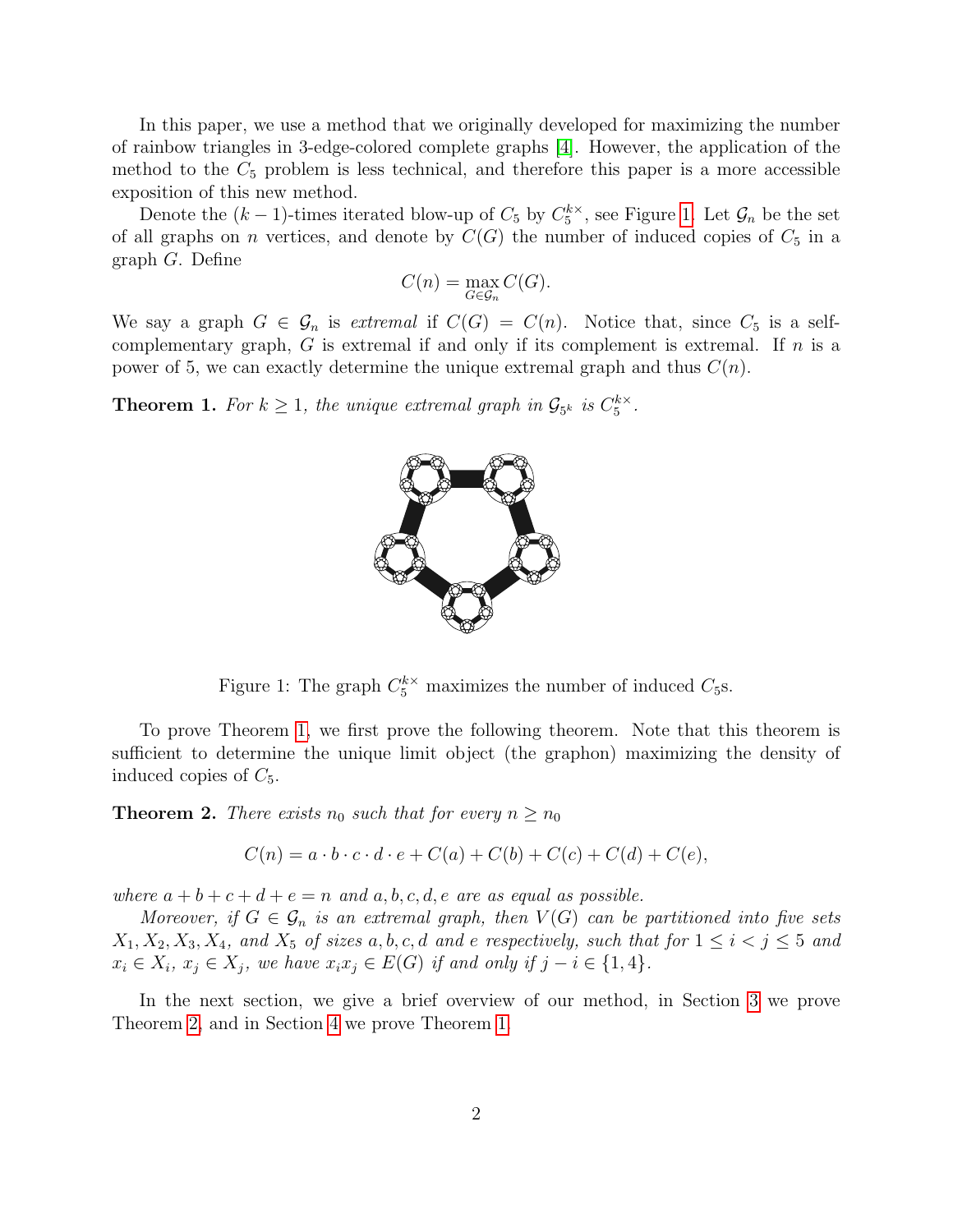In this paper, we use a method that we originally developed for maximizing the number of rainbow triangles in 3-edge-colored complete graphs [\[4\]](#page-14-2). However, the application of the method to the  $C_5$  problem is less technical, and therefore this paper is a more accessible exposition of this new method.

Denote the  $(k-1)$ -times iterated blow-up of  $C_5$  by  $C_5^{k\times k}$  $_{5}^{k\times}$ , see Figure [1.](#page-1-0) Let  $\mathcal{G}_n$  be the set of all graphs on n vertices, and denote by  $C(G)$  the number of induced copies of  $C_5$  in a graph G. Define

$$
C(n) = \max_{G \in \mathcal{G}_n} C(G).
$$

We say a graph  $G \in \mathcal{G}_n$  is extremal if  $C(G) = C(n)$ . Notice that, since  $C_5$  is a selfcomplementary graph,  $G$  is extremal if and only if its complement is extremal. If  $n$  is a power of 5, we can exactly determine the unique extremal graph and thus  $C(n)$ .

<span id="page-1-1"></span>**Theorem 1.** For  $k \geq 1$ , the unique extremal graph in  $\mathcal{G}_{5^k}$  is  $C_5^{k \times k}$  $\frac{k\times}{5}$ .



Figure 1: The graph  $C_5^{k \times}$  maximizes the number of induced  $C_5$ s.

To prove Theorem [1,](#page-1-1) we first prove the following theorem. Note that this theorem is sufficient to determine the unique limit object (the graphon) maximizing the density of induced copies of  $C_5$ .

<span id="page-1-2"></span>**Theorem 2.** There exists  $n_0$  such that for every  $n \geq n_0$ 

<span id="page-1-0"></span>
$$
C(n) = a \cdot b \cdot c \cdot d \cdot e + C(a) + C(b) + C(c) + C(d) + C(e),
$$

where  $a + b + c + d + e = n$  and  $a, b, c, d, e$  are as equal as possible.

Moreover, if  $G \in \mathcal{G}_n$  is an extremal graph, then  $V(G)$  can be partitioned into five sets  $X_1, X_2, X_3, X_4$ , and  $X_5$  of sizes a, b, c, d and e respectively, such that for  $1 \leq i < j \leq 5$  and  $x_i \in X_i$ ,  $x_j \in X_j$ , we have  $x_i x_j \in E(G)$  if and only if  $j - i \in \{1, 4\}$ .

In the next section, we give a brief overview of our method, in Section [3](#page-4-0) we prove Theorem [2,](#page-1-2) and in Section [4](#page-13-0) we prove Theorem [1.](#page-1-1)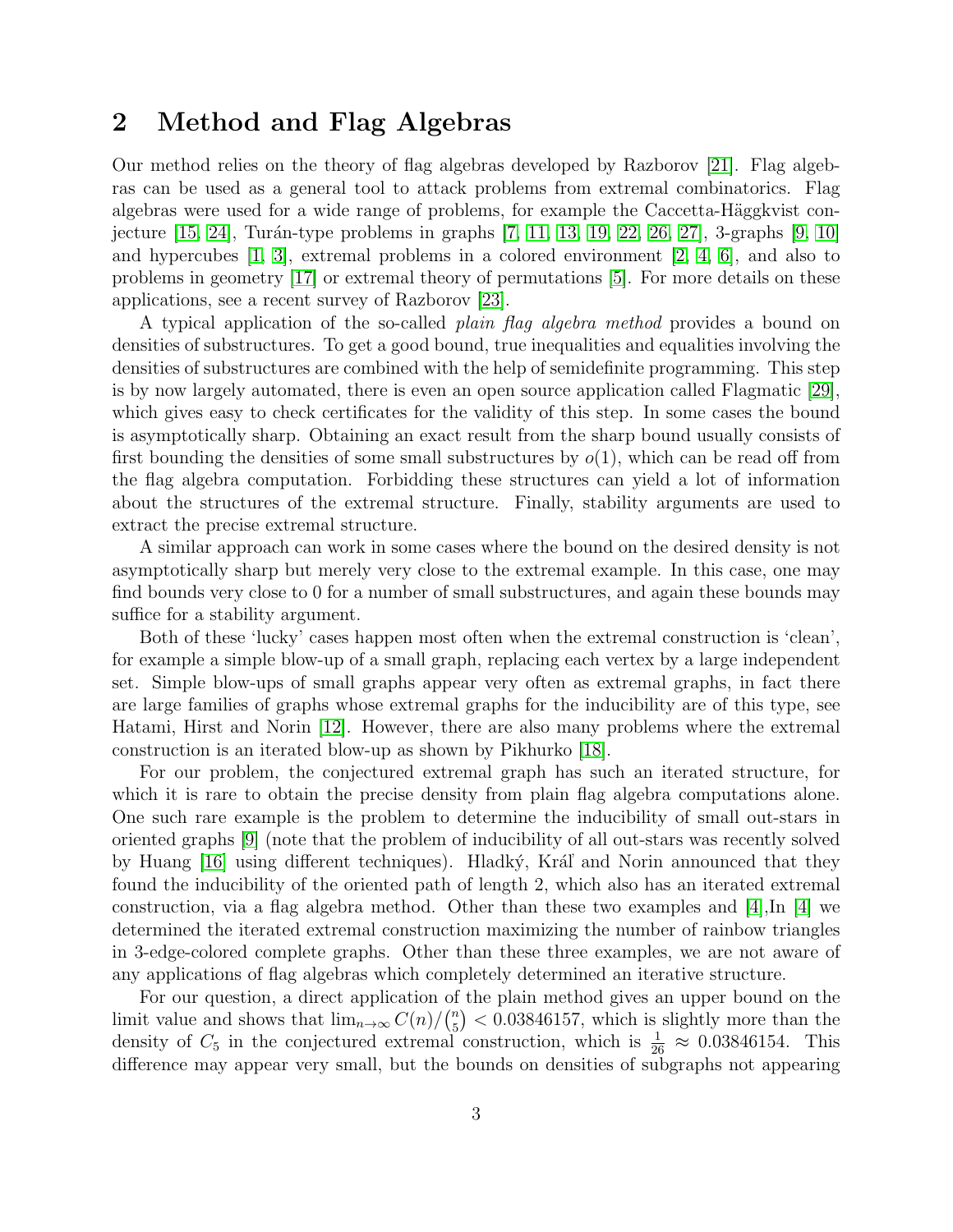### 2 Method and Flag Algebras

Our method relies on the theory of flag algebras developed by Razborov [\[21\]](#page-15-3). Flag algebras can be used as a general tool to attack problems from extremal combinatorics. Flag algebras were used for a wide range of problems, for example the Caccetta-Häggkvist conjecture  $[15, 24]$  $[15, 24]$ , Turán-type problems in graphs  $[7, 11, 13, 19, 22, 26, 27]$  $[7, 11, 13, 19, 22, 26, 27]$  $[7, 11, 13, 19, 22, 26, 27]$  $[7, 11, 13, 19, 22, 26, 27]$  $[7, 11, 13, 19, 22, 26, 27]$  $[7, 11, 13, 19, 22, 26, 27]$  $[7, 11, 13, 19, 22, 26, 27]$ , 3-graphs  $[9, 10]$  $[9, 10]$ and hypercubes  $[1, 3]$  $[1, 3]$ , extremal problems in a colored environment  $[2, 4, 6]$  $[2, 4, 6]$  $[2, 4, 6]$ , and also to problems in geometry [\[17\]](#page-14-11) or extremal theory of permutations [\[5\]](#page-14-12). For more details on these applications, see a recent survey of Razborov [\[23\]](#page-15-9).

A typical application of the so-called *plain flag algebra method* provides a bound on densities of substructures. To get a good bound, true inequalities and equalities involving the densities of substructures are combined with the help of semidefinite programming. This step is by now largely automated, there is even an open source application called Flagmatic [\[29\]](#page-15-2), which gives easy to check certificates for the validity of this step. In some cases the bound is asymptotically sharp. Obtaining an exact result from the sharp bound usually consists of first bounding the densities of some small substructures by  $o(1)$ , which can be read off from the flag algebra computation. Forbidding these structures can yield a lot of information about the structures of the extremal structure. Finally, stability arguments are used to extract the precise extremal structure.

A similar approach can work in some cases where the bound on the desired density is not asymptotically sharp but merely very close to the extremal example. In this case, one may find bounds very close to 0 for a number of small substructures, and again these bounds may suffice for a stability argument.

Both of these 'lucky' cases happen most often when the extremal construction is 'clean', for example a simple blow-up of a small graph, replacing each vertex by a large independent set. Simple blow-ups of small graphs appear very often as extremal graphs, in fact there are large families of graphs whose extremal graphs for the inducibility are of this type, see Hatami, Hirst and Norin [\[12\]](#page-14-13). However, there are also many problems where the extremal construction is an iterated blow-up as shown by Pikhurko [\[18\]](#page-15-10).

For our problem, the conjectured extremal graph has such an iterated structure, for which it is rare to obtain the precise density from plain flag algebra computations alone. One such rare example is the problem to determine the inducibility of small out-stars in oriented graphs [\[9\]](#page-14-7) (note that the problem of inducibility of all out-stars was recently solved by Huang [\[16\]](#page-14-14) using different techniques). Hladký, Kráľ and Norin announced that they found the inducibility of the oriented path of length 2, which also has an iterated extremal construction, via a flag algebra method. Other than these two examples and  $[4]$ , In  $[4]$  we determined the iterated extremal construction maximizing the number of rainbow triangles in 3-edge-colored complete graphs. Other than these three examples, we are not aware of any applications of flag algebras which completely determined an iterative structure.

For our question, a direct application of the plain method gives an upper bound on the limit value and shows that  $\lim_{n\to\infty} C(n)/\binom{n}{5}$  $\binom{n}{5}$  < 0.03846157, which is slightly more than the density of  $C_5$  in the conjectured extremal construction, which is  $\frac{1}{26} \approx 0.03846154$ . This difference may appear very small, but the bounds on densities of subgraphs not appearing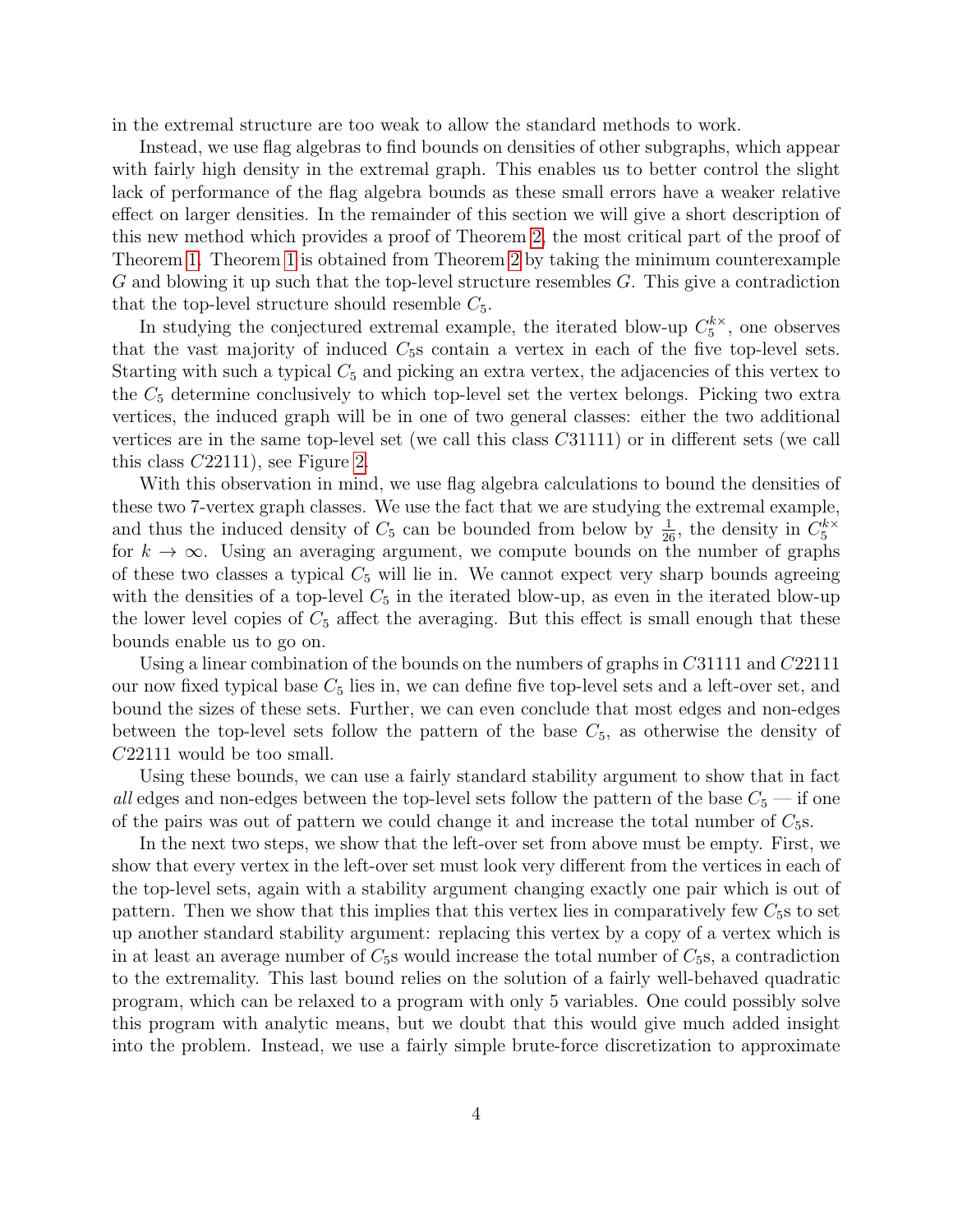in the extremal structure are too weak to allow the standard methods to work.

Instead, we use flag algebras to find bounds on densities of other subgraphs, which appear with fairly high density in the extremal graph. This enables us to better control the slight lack of performance of the flag algebra bounds as these small errors have a weaker relative effect on larger densities. In the remainder of this section we will give a short description of this new method which provides a proof of Theorem [2,](#page-1-2) the most critical part of the proof of Theorem [1.](#page-1-1) Theorem [1](#page-1-1) is obtained from Theorem [2](#page-1-2) by taking the minimum counterexample G and blowing it up such that the top-level structure resembles G. This give a contradiction that the top-level structure should resemble  $C_5$ .

In studying the conjectured extremal example, the iterated blow-up  $C_5^{k\times k}$  $5^{\prime\prime}$ , one observes that the vast majority of induced  $C_5$ s contain a vertex in each of the five top-level sets. Starting with such a typical  $C_5$  and picking an extra vertex, the adjacencies of this vertex to the  $C_5$  determine conclusively to which top-level set the vertex belongs. Picking two extra vertices, the induced graph will be in one of two general classes: either the two additional vertices are in the same top-level set (we call this class C31111) or in different sets (we call this class C22111), see Figure [2.](#page-4-1)

With this observation in mind, we use flag algebra calculations to bound the densities of these two 7-vertex graph classes. We use the fact that we are studying the extremal example, and thus the induced density of  $C_5$  can be bounded from below by  $\frac{1}{26}$ , the density in  $C_5^{k\times k}$ 5 for  $k \to \infty$ . Using an averaging argument, we compute bounds on the number of graphs of these two classes a typical  $C_5$  will lie in. We cannot expect very sharp bounds agreeing with the densities of a top-level  $C_5$  in the iterated blow-up, as even in the iterated blow-up the lower level copies of  $C_5$  affect the averaging. But this effect is small enough that these bounds enable us to go on.

Using a linear combination of the bounds on the numbers of graphs in C31111 and C22111 our now fixed typical base  $C_5$  lies in, we can define five top-level sets and a left-over set, and bound the sizes of these sets. Further, we can even conclude that most edges and non-edges between the top-level sets follow the pattern of the base  $C_5$ , as otherwise the density of C22111 would be too small.

Using these bounds, we can use a fairly standard stability argument to show that in fact all edges and non-edges between the top-level sets follow the pattern of the base  $C_5$  — if one of the pairs was out of pattern we could change it and increase the total number of  $C_5$ s.

In the next two steps, we show that the left-over set from above must be empty. First, we show that every vertex in the left-over set must look very different from the vertices in each of the top-level sets, again with a stability argument changing exactly one pair which is out of pattern. Then we show that this implies that this vertex lies in comparatively few  $C_5$ s to set up another standard stability argument: replacing this vertex by a copy of a vertex which is in at least an average number of  $C_5$ s would increase the total number of  $C_5$ s, a contradiction to the extremality. This last bound relies on the solution of a fairly well-behaved quadratic program, which can be relaxed to a program with only 5 variables. One could possibly solve this program with analytic means, but we doubt that this would give much added insight into the problem. Instead, we use a fairly simple brute-force discretization to approximate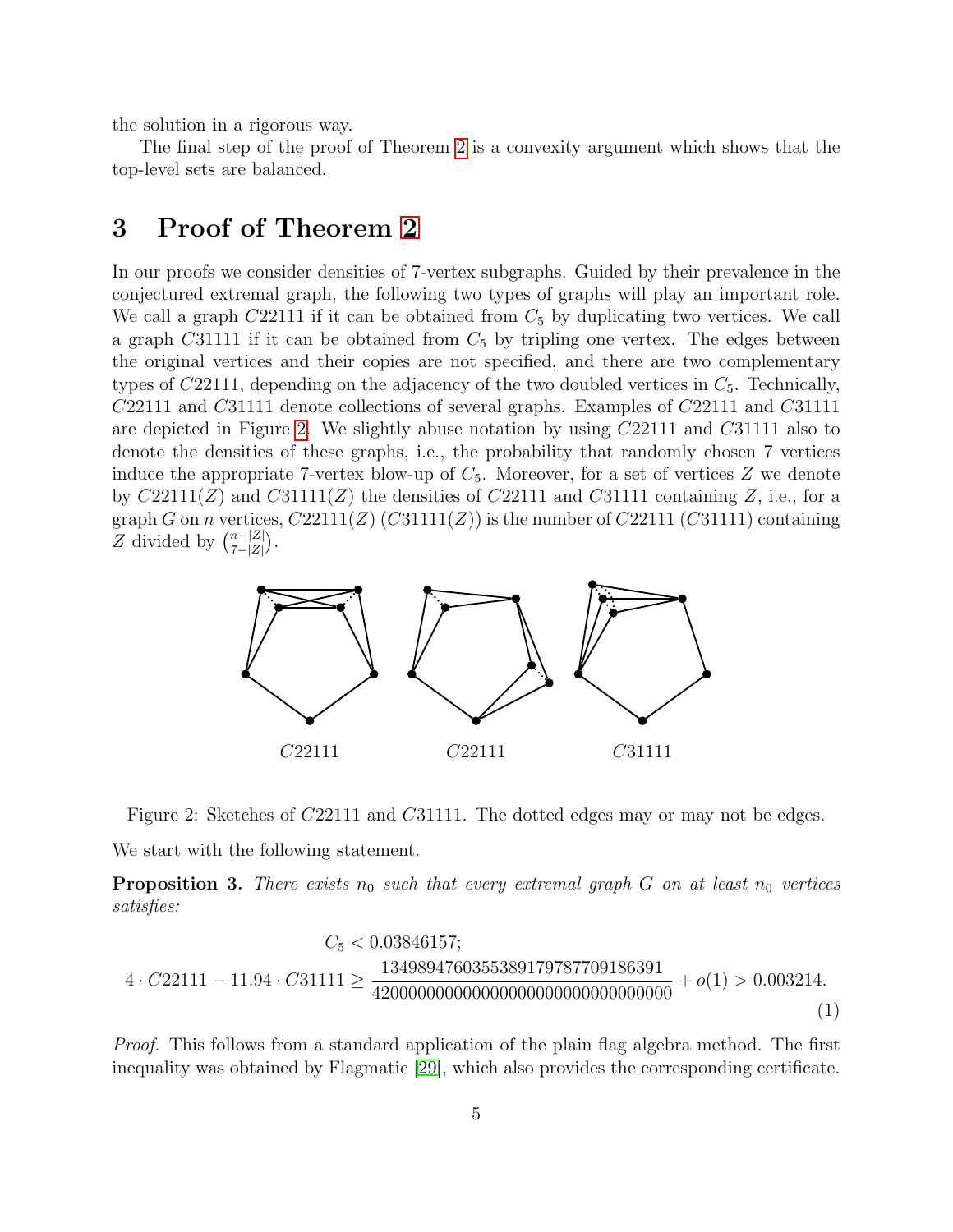the solution in a rigorous way.

The final step of the proof of Theorem [2](#page-1-2) is a convexity argument which shows that the top-level sets are balanced.

## <span id="page-4-0"></span>3 Proof of Theorem [2](#page-1-2)

In our proofs we consider densities of 7-vertex subgraphs. Guided by their prevalence in the conjectured extremal graph, the following two types of graphs will play an important role. We call a graph  $C22111$  if it can be obtained from  $C_5$  by duplicating two vertices. We call a graph C31111 if it can be obtained from  $C_5$  by tripling one vertex. The edges between the original vertices and their copies are not specified, and there are two complementary types of  $C22111$ , depending on the adjacency of the two doubled vertices in  $C_5$ . Technically, C22111 and C31111 denote collections of several graphs. Examples of C22111 and C31111 are depicted in Figure [2.](#page-4-1) We slightly abuse notation by using C22111 and C31111 also to denote the densities of these graphs, i.e., the probability that randomly chosen 7 vertices induce the appropriate 7-vertex blow-up of  $C_5$ . Moreover, for a set of vertices Z we denote by  $C22111(Z)$  and  $C31111(Z)$  the densities of  $C22111$  and  $C31111$  containing Z, i.e., for a graph G on n vertices,  $C22111(Z)$  (C31111(Z)) is the number of C22111 (C31111) containing Z divided by  $\binom{n-|Z|}{7-|Z|}$  $\frac{n-|Z|}{7-|Z|}$ .



<span id="page-4-1"></span>Figure 2: Sketches of C22111 and C31111. The dotted edges may or may not be edges.

We start with the following statement.

<span id="page-4-2"></span>**Proposition 3.** There exists  $n_0$  such that every extremal graph G on at least  $n_0$  vertices satisfies:

<span id="page-4-3"></span>C<sup>5</sup> < 0.03846157; 4 · C22111 − 11.94 · C31111 ≥ 1349894760355389179787709186391 420000000000000000000000000000000 + o(1) > 0.003214. (1)

Proof. This follows from a standard application of the plain flag algebra method. The first inequality was obtained by Flagmatic [\[29\]](#page-15-2), which also provides the corresponding certificate.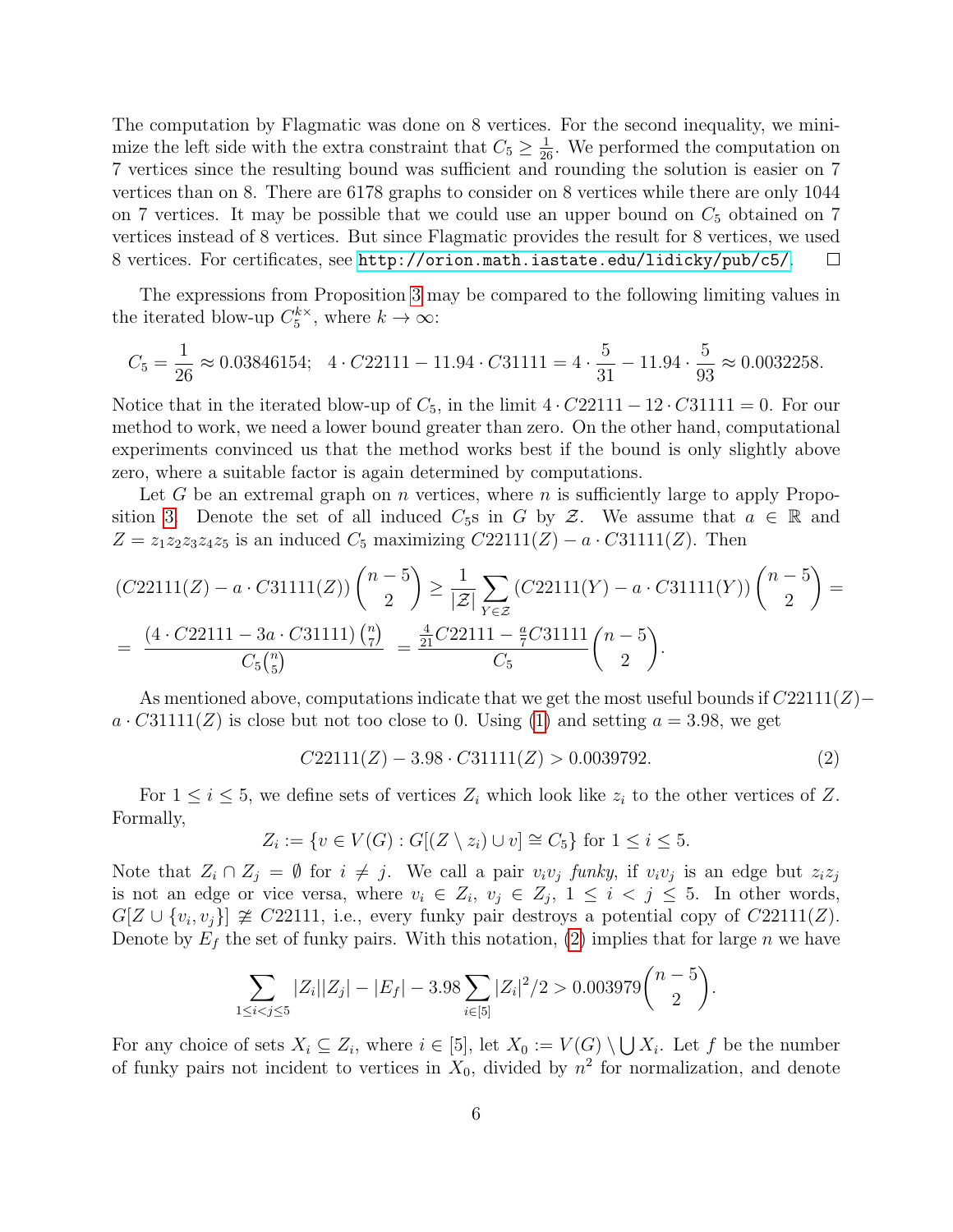The computation by Flagmatic was done on 8 vertices. For the second inequality, we minimize the left side with the extra constraint that  $C_5 \geq \frac{1}{26}$ . We performed the computation on 7 vertices since the resulting bound was sufficient and rounding the solution is easier on 7 vertices than on 8. There are 6178 graphs to consider on 8 vertices while there are only 1044 on 7 vertices. It may be possible that we could use an upper bound on  $C_5$  obtained on 7 vertices instead of 8 vertices. But since Flagmatic provides the result for 8 vertices, we used 8 vertices. For certificates, see <http://orion.math.iastate.edu/lidicky/pub/c5/>.  $\Box$ 

The expressions from Proposition [3](#page-4-2) may be compared to the following limiting values in the iterated blow-up  $C_5^{k\times k}$  $j_5^{k\times}$ , where  $k\to\infty$ :

$$
C_5 = \frac{1}{26} \approx 0.03846154; \quad 4 \cdot C22111 - 11.94 \cdot C31111 = 4 \cdot \frac{5}{31} - 11.94 \cdot \frac{5}{93} \approx 0.0032258.
$$

Notice that in the iterated blow-up of  $C_5$ , in the limit  $4 \cdot C22111 - 12 \cdot C31111 = 0$ . For our method to work, we need a lower bound greater than zero. On the other hand, computational experiments convinced us that the method works best if the bound is only slightly above zero, where a suitable factor is again determined by computations.

Let G be an extremal graph on n vertices, where n is sufficiently large to apply Propo-sition [3.](#page-4-2) Denote the set of all induced  $C_5$ s in G by Z. We assume that  $a \in \mathbb{R}$  and  $Z = z_1 z_2 z_3 z_4 z_5$  is an induced  $C_5$  maximizing  $C22111(Z) - a \cdot C31111(Z)$ . Then

$$
(C22111(Z) - a \cdot C31111(Z)) \binom{n-5}{2} \ge \frac{1}{|\mathcal{Z}|} \sum_{Y \in \mathcal{Z}} (C22111(Y) - a \cdot C31111(Y)) \binom{n-5}{2} = \frac{(4 \cdot C22111 - 3a \cdot C31111) \binom{n}{7}}{C_5 \binom{n}{5}} = \frac{\frac{4}{21} C22111 - \frac{a}{7} C31111}{C_5} \binom{n-5}{2}.
$$

As mentioned above, computations indicate that we get the most useful bounds if  $C22111(Z)$ −  $a \cdot C31111(Z)$  is close but not too close to 0. Using [\(1\)](#page-4-3) and setting  $a = 3.98$ , we get

<span id="page-5-0"></span>
$$
C22111(Z) - 3.98 \cdot C31111(Z) > 0.0039792. \tag{2}
$$

For  $1 \leq i \leq 5$ , we define sets of vertices  $Z_i$  which look like  $z_i$  to the other vertices of Z. Formally,

$$
Z_i := \{ v \in V(G) : G[(Z \setminus z_i) \cup v] \cong C_5 \} \text{ for } 1 \le i \le 5.
$$

Note that  $Z_i \cap Z_j = \emptyset$  for  $i \neq j$ . We call a pair  $v_i v_j$  funky, if  $v_i v_j$  is an edge but  $z_i z_j$ is not an edge or vice versa, where  $v_i \in Z_i$ ,  $v_j \in Z_j$ ,  $1 \leq i \leq j \leq 5$ . In other words,  $G[Z \cup \{v_i, v_j\}] \ncong C22111$ , i.e., every funky pair destroys a potential copy of  $C22111(Z)$ . Denote by  $E_f$  the set of funky pairs. With this notation, [\(2\)](#page-5-0) implies that for large n we have

$$
\sum_{1 \leq i < j \leq 5} |Z_i||Z_j| - |E_f| - 3.98 \sum_{i \in [5]} |Z_i|^2 / 2 > 0.003979 \binom{n-5}{2}.
$$

 $\mathbf{1}$ 

For any choice of sets  $X_i \subseteq Z_i$ , where  $i \in [5]$ , let  $X_0 := V(G) \setminus \bigcup X_i$ . Let f be the number of funky pairs not incident to vertices in  $X_0$ , divided by  $n^2$  for normalization, and denote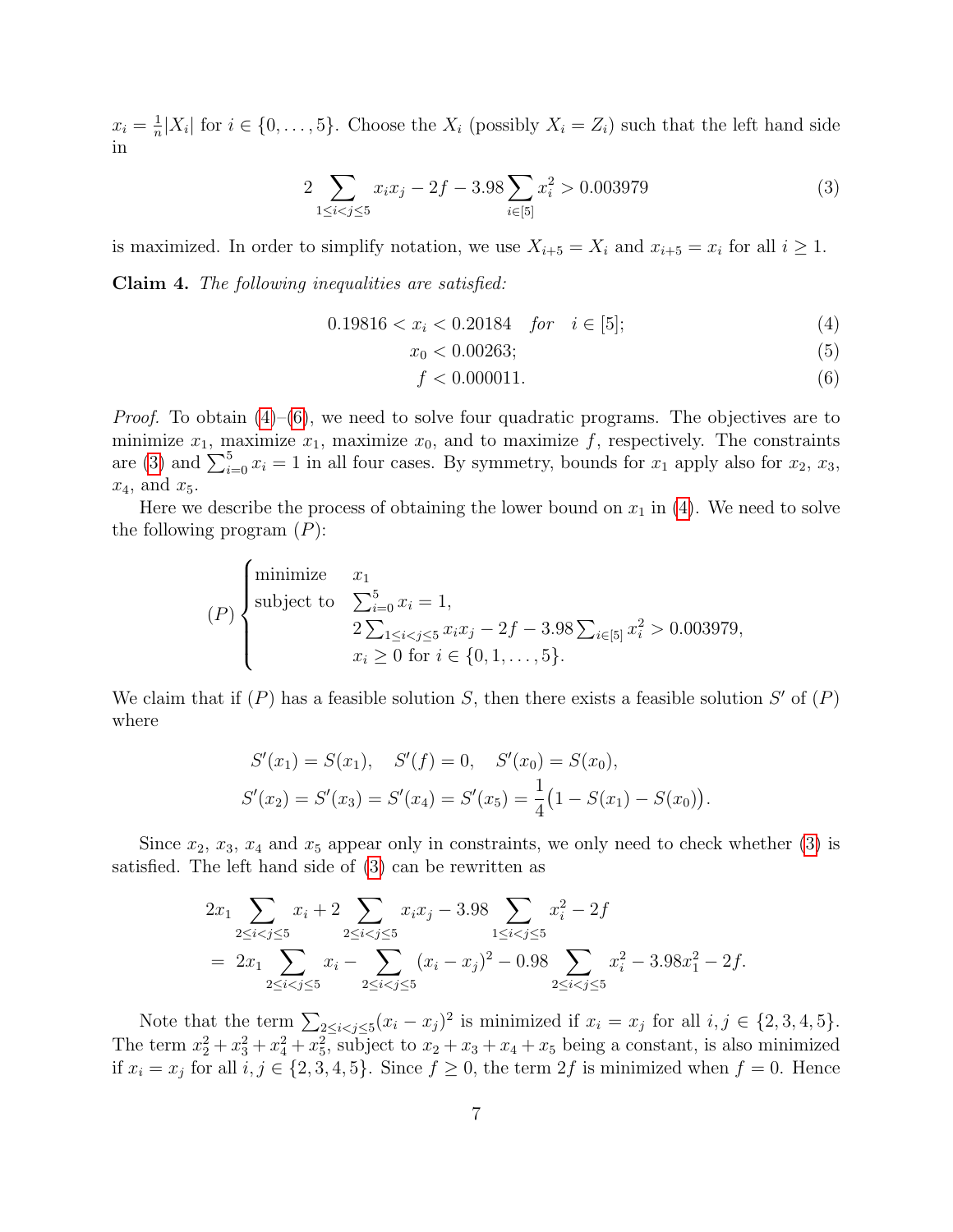$x_i = \frac{1}{n}$  $\frac{1}{n}|X_i|$  for  $i \in \{0, \ldots, 5\}$ . Choose the  $X_i$  (possibly  $X_i = Z_i$ ) such that the left hand side in

$$
2\sum_{1 \le i < j \le 5} x_i x_j - 2f - 3.98 \sum_{i \in [5]} x_i^2 > 0.003979 \tag{3}
$$

is maximized. In order to simplify notation, we use  $X_{i+5} = X_i$  and  $x_{i+5} = x_i$  for all  $i \ge 1$ . Claim 4. The following inequalities are satisfied:

$$
0.19816 < x_i < 0.20184 \quad \text{for} \quad i \in [5];\tag{4}
$$

<span id="page-6-2"></span><span id="page-6-0"></span>
$$
x_0 < 0.00263; \tag{5}
$$

<span id="page-6-3"></span><span id="page-6-1"></span>
$$
f < 0.000011. \tag{6}
$$

*Proof.* To obtain  $(4)$ – $(6)$ , we need to solve four quadratic programs. The objectives are to minimize  $x_1$ , maximize  $x_1$ , maximize  $x_0$ , and to maximize f, respectively. The constraints are [\(3\)](#page-6-2) and  $\sum_{i=0}^{5} x_i = 1$  in all four cases. By symmetry, bounds for  $x_1$  apply also for  $x_2, x_3$ ,  $x_4$ , and  $x_5$ .

Here we describe the process of obtaining the lower bound on  $x_1$  in [\(4\)](#page-6-0). We need to solve the following program  $(P)$ :

$$
(P)\n\begin{cases}\n\text{minimize} & x_1 \\
\text{subject to} & \sum_{i=0}^5 x_i = 1, \\
& 2\sum_{1 \le i < j \le 5} x_i x_j - 2f - 3.98 \sum_{i \in [5]} x_i^2 > 0.003979, \\
& x_i \ge 0 \text{ for } i \in \{0, 1, \dots, 5\}.\n\end{cases}
$$

We claim that if  $(P)$  has a feasible solution S, then there exists a feasible solution S' of  $(P)$ where

$$
S'(x_1) = S(x_1), \quad S'(f) = 0, \quad S'(x_0) = S(x_0),
$$
  

$$
S'(x_2) = S'(x_3) = S'(x_4) = S'(x_5) = \frac{1}{4}(1 - S(x_1) - S(x_0)).
$$

Since  $x_2, x_3, x_4$  and  $x_5$  appear only in constraints, we only need to check whether [\(3\)](#page-6-2) is satisfied. The left hand side of [\(3\)](#page-6-2) can be rewritten as

$$
2x_1 \sum_{2 \le i < j \le 5} x_i + 2 \sum_{2 \le i < j \le 5} x_i x_j - 3.98 \sum_{1 \le i < j \le 5} x_i^2 - 2f
$$
\n
$$
= 2x_1 \sum_{2 \le i < j \le 5} x_i - \sum_{2 \le i < j \le 5} (x_i - x_j)^2 - 0.98 \sum_{2 \le i < j \le 5} x_i^2 - 3.98x_1^2 - 2f.
$$

Note that the term  $\sum_{2 \leq i < j \leq 5} (x_i - x_j)^2$  is minimized if  $x_i = x_j$  for all  $i, j \in \{2, 3, 4, 5\}$ . The term  $x_2^2 + x_3^2 + x_4^2 + x_5^2$ , subject to  $x_2 + x_3 + x_4 + x_5$  being a constant, is also minimized if  $x_i = x_j$  for all  $i, j \in \{2, 3, 4, 5\}$ . Since  $f \ge 0$ , the term  $2f$  is minimized when  $f = 0$ . Hence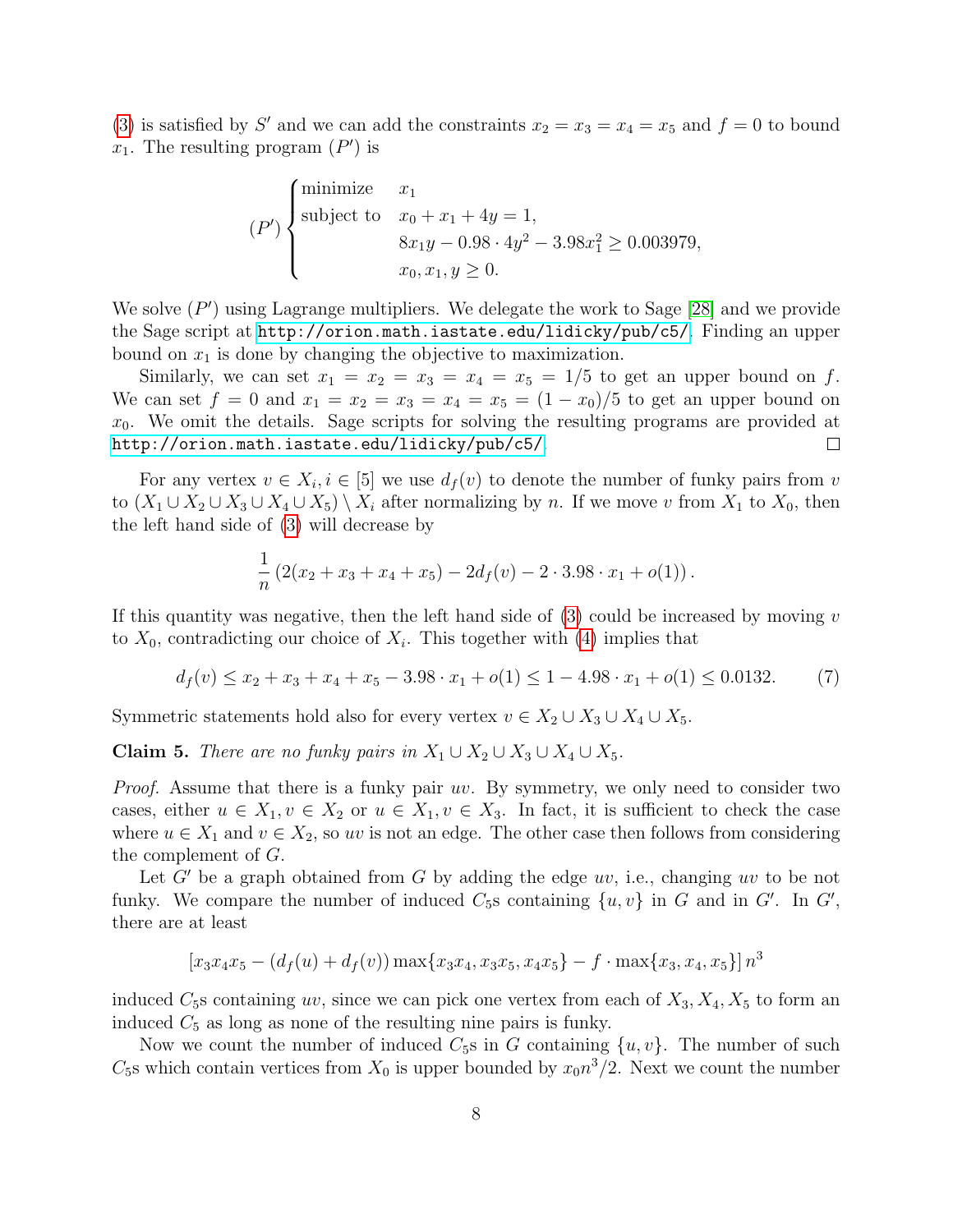[\(3\)](#page-6-2) is satisfied by S' and we can add the constraints  $x_2 = x_3 = x_4 = x_5$  and  $f = 0$  to bound  $x_1$ . The resulting program  $(P')$  is

$$
(P')\begin{cases}\text{minimize} & x_1\\ \text{subject to} & x_0 + x_1 + 4y = 1, \\ & 8x_1y - 0.98 \cdot 4y^2 - 3.98x_1^2 \ge 0.003979, \\ & x_0, x_1, y \ge 0.\end{cases}
$$

We solve  $(P')$  using Lagrange multipliers. We delegate the work to Sage [\[28\]](#page-15-11) and we provide the Sage script at <http://orion.math.iastate.edu/lidicky/pub/c5/>. Finding an upper bound on  $x_1$  is done by changing the objective to maximization.

Similarly, we can set  $x_1 = x_2 = x_3 = x_4 = x_5 = 1/5$  to get an upper bound on f. We can set  $f = 0$  and  $x_1 = x_2 = x_3 = x_4 = x_5 = (1 - x_0)/5$  to get an upper bound on  $x_0$ . We omit the details. Sage scripts for solving the resulting programs are provided at <http://orion.math.iastate.edu/lidicky/pub/c5/>.  $\Box$ 

For any vertex  $v \in X_i, i \in [5]$  we use  $d_f(v)$  to denote the number of funky pairs from v to  $(X_1 \cup X_2 \cup X_3 \cup X_4 \cup X_5) \setminus X_i$  after normalizing by n. If we move v from  $X_1$  to  $X_0$ , then the left hand side of [\(3\)](#page-6-2) will decrease by

<span id="page-7-0"></span>
$$
\frac{1}{n}(2(x_2+x_3+x_4+x_5)-2d_f(v)-2\cdot 3.98\cdot x_1+o(1)).
$$

If this quantity was negative, then the left hand side of  $(3)$  could be increased by moving v to  $X_0$ , contradicting our choice of  $X_i$ . This together with [\(4\)](#page-6-0) implies that

$$
d_f(v) \le x_2 + x_3 + x_4 + x_5 - 3.98 \cdot x_1 + o(1) \le 1 - 4.98 \cdot x_1 + o(1) \le 0.0132. \tag{7}
$$

Symmetric statements hold also for every vertex  $v \in X_2 \cup X_3 \cup X_4 \cup X_5$ .

<span id="page-7-1"></span>Claim 5. There are no funky pairs in  $X_1 \cup X_2 \cup X_3 \cup X_4 \cup X_5$ .

Proof. Assume that there is a funky pair uv. By symmetry, we only need to consider two cases, either  $u \in X_1, v \in X_2$  or  $u \in X_1, v \in X_3$ . In fact, it is sufficient to check the case where  $u \in X_1$  and  $v \in X_2$ , so uv is not an edge. The other case then follows from considering the complement of G.

Let G' be a graph obtained from G by adding the edge uv, i.e., changing uv to be not funky. We compare the number of induced  $C_5$ s containing  $\{u, v\}$  in G and in G'. In G', there are at least

$$
[x_3x_4x_5 - (d_f(u) + d_f(v))\max\{x_3x_4, x_3x_5, x_4x_5\} - f \cdot \max\{x_3, x_4, x_5\}]n^3
$$

induced  $C_5$ s containing uv, since we can pick one vertex from each of  $X_3, X_4, X_5$  to form an induced  $C_5$  as long as none of the resulting nine pairs is funky.

Now we count the number of induced  $C_5$ s in G containing  $\{u, v\}$ . The number of such  $C_5$ s which contain vertices from  $X_0$  is upper bounded by  $x_0 n^3/2$ . Next we count the number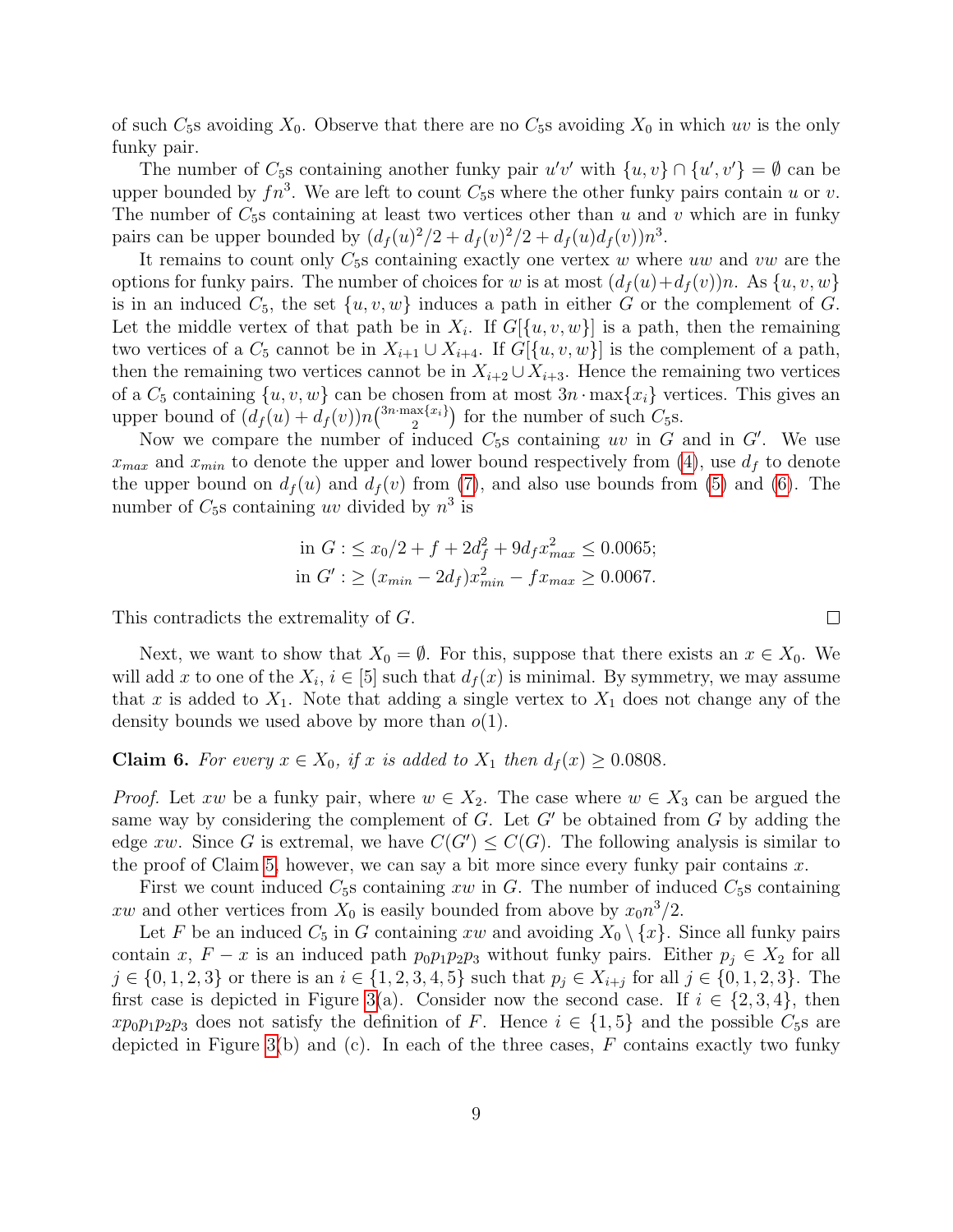of such  $C_5$ s avoiding  $X_0$ . Observe that there are no  $C_5$ s avoiding  $X_0$  in which uv is the only funky pair.

The number of  $C_5$ s containing another funky pair  $u'v'$  with  $\{u, v\} \cap \{u', v'\} = \emptyset$  can be upper bounded by  $fn^3$ . We are left to count  $C_5$ s where the other funky pairs contain u or v. The number of  $C_{5}$ s containing at least two vertices other than u and v which are in funky pairs can be upper bounded by  $\left(d_f(u)^2/2 + d_f(v)^2/2 + d_f(u)d_f(v)\right)n^3$ .

It remains to count only  $C_5$ s containing exactly one vertex w where uw and vw are the options for funky pairs. The number of choices for w is at most  $(d_f(u)+d_f(v))n$ . As  $\{u, v, w\}$ is in an induced  $C_5$ , the set  $\{u, v, w\}$  induces a path in either G or the complement of G. Let the middle vertex of that path be in  $X_i$ . If  $G[\{u, v, w\}]$  is a path, then the remaining two vertices of a  $C_5$  cannot be in  $X_{i+1} \cup X_{i+4}$ . If  $G[\{u, v, w\}]$  is the complement of a path, then the remaining two vertices cannot be in  $X_{i+2} \cup X_{i+3}$ . Hence the remaining two vertices of a  $C_5$  containing  $\{u, v, w\}$  can be chosen from at most  $3n \cdot \max\{x_i\}$  vertices. This gives an upper bound of  $(d_f(u) + d_f(v))n^{\{3n \cdot \max\{x_i\}}}{2}$  $\binom{\text{ax}\{x_i\}}{2}$  for the number of such  $C_5$ s.

Now we compare the number of induced  $C_5$ s containing uv in G and in G'. We use  $x_{max}$  and  $x_{min}$  to denote the upper and lower bound respectively from [\(4\)](#page-6-0), use  $d_f$  to denote the upper bound on  $d_f(u)$  and  $d_f(v)$  from [\(7\)](#page-7-0), and also use bounds from [\(5\)](#page-6-3) and [\(6\)](#page-6-1). The number of  $C_5$ s containing uv divided by  $n^3$  is

in 
$$
G: \leq x_0/2 + f + 2d_f^2 + 9d_f x_{max}^2 \leq 0.0065;
$$
  
in  $G': \geq (x_{min} - 2d_f)x_{min}^2 - fx_{max} \geq 0.0067.$ 

This contradicts the extremality of G.

Next, we want to show that  $X_0 = \emptyset$ . For this, suppose that there exists an  $x \in X_0$ . We will add x to one of the  $X_i$ ,  $i \in [5]$  such that  $d_f(x)$  is minimal. By symmetry, we may assume that x is added to  $X_1$ . Note that adding a single vertex to  $X_1$  does not change any of the density bounds we used above by more than  $o(1)$ .

#### <span id="page-8-0"></span>**Claim 6.** For every  $x \in X_0$ , if x is added to  $X_1$  then  $d_f(x) \geq 0.0808$ .

*Proof.* Let xw be a funky pair, where  $w \in X_2$ . The case where  $w \in X_3$  can be argued the same way by considering the complement of  $G$ . Let  $G'$  be obtained from  $G$  by adding the edge xw. Since G is extremal, we have  $C(G') \leq C(G)$ . The following analysis is similar to the proof of Claim [5,](#page-7-1) however, we can say a bit more since every funky pair contains  $x$ .

First we count induced  $C_5$ s containing xw in G. The number of induced  $C_5$ s containing xw and other vertices from  $X_0$  is easily bounded from above by  $x_0 n^3/2$ .

Let F be an induced  $C_5$  in G containing xw and avoiding  $X_0 \setminus \{x\}$ . Since all funky pairs contain x,  $F - x$  is an induced path  $p_0p_1p_2p_3$  without funky pairs. Either  $p_j \in X_2$  for all  $j \in \{0, 1, 2, 3\}$  or there is an  $i \in \{1, 2, 3, 4, 5\}$  such that  $p_j \in X_{i+j}$  for all  $j \in \{0, 1, 2, 3\}$ . The first case is depicted in Figure [3\(](#page-9-0)a). Consider now the second case. If  $i \in \{2,3,4\}$ , then  $x p_0 p_1 p_2 p_3$  does not satisfy the definition of F. Hence  $i \in \{1, 5\}$  and the possible  $C_5$ s are depicted in Figure [3\(](#page-9-0)b) and (c). In each of the three cases,  $F$  contains exactly two funky

 $\Box$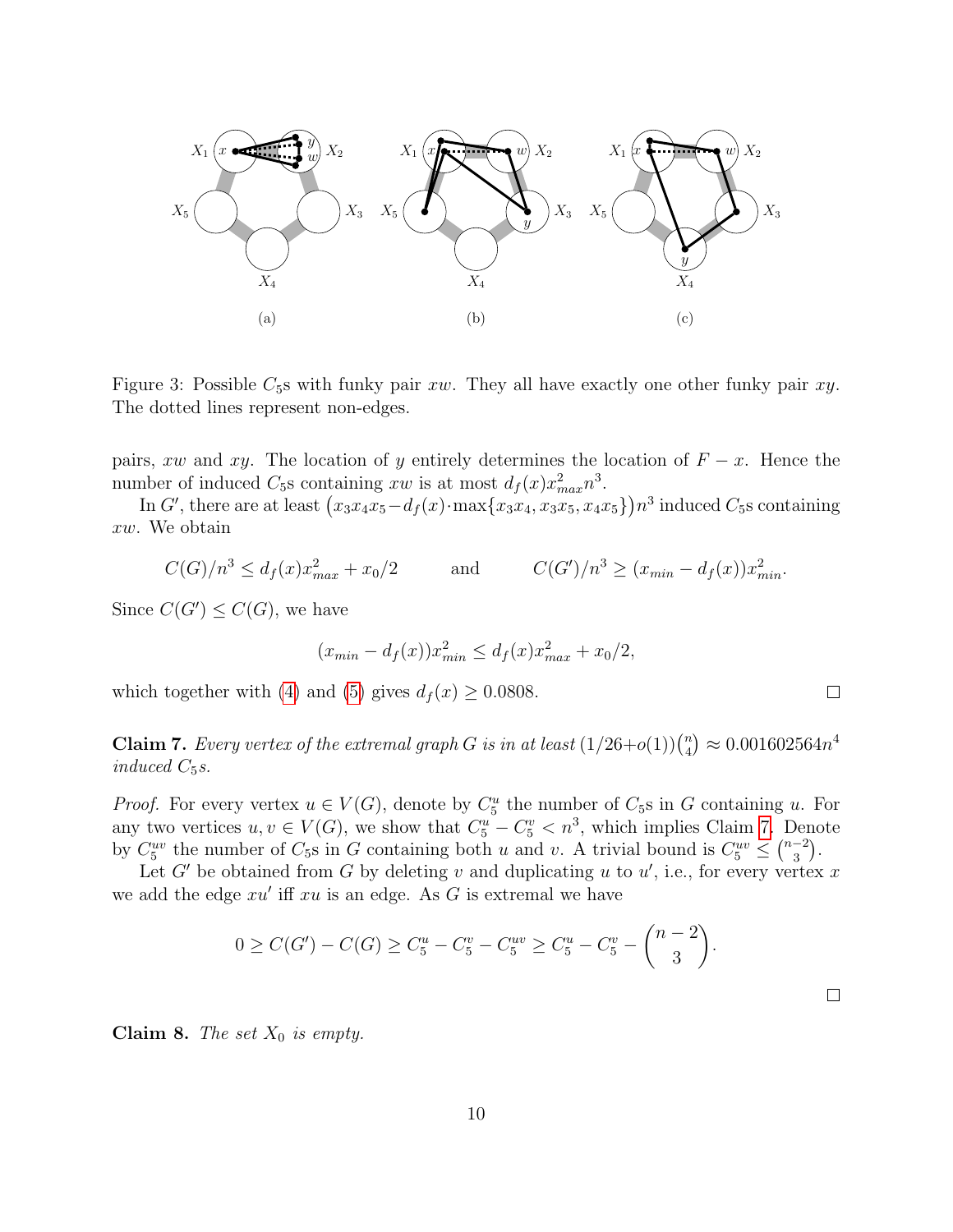

<span id="page-9-0"></span>Figure 3: Possible  $C_5$ s with funky pair  $xw$ . They all have exactly one other funky pair  $xy$ . The dotted lines represent non-edges.

pairs, xw and xy. The location of y entirely determines the location of  $F - x$ . Hence the number of induced  $C_5$ s containing xw is at most  $d_f(x)x_{max}^2 n^3$ .

In G', there are at least  $(x_3x_4x_5 - d_f(x) \cdot \max\{x_3x_4, x_3x_5, x_4x_5\})n^3$  induced  $C_5$ s containing xw. We obtain

$$
C(G)/n^3 \le d_f(x)x_{max}^2 + x_0/2
$$
 and  $C(G')/n^3 \ge (x_{min} - d_f(x))x_{min}^2$ .

Since  $C(G') \leq C(G)$ , we have

$$
(x_{min} - d_f(x))x_{min}^2 \le d_f(x)x_{max}^2 + x_0/2,
$$

which together with [\(4\)](#page-6-0) and [\(5\)](#page-6-3) gives  $d_f(x) \geq 0.0808$ .

<span id="page-9-1"></span>**Claim 7.** Every vertex of the extremal graph G is in at least  $(1/26+o(1))\binom{n}{4}$  ${n \choose 4} \approx 0.001602564 n^4$ induced  $C_5s$ .

*Proof.* For every vertex  $u \in V(G)$ , denote by  $C_5^u$  the number of  $C_5$ s in G containing u. For any two vertices  $u, v \in V(G)$ , we show that  $C_5^u - C_5^v < n^3$ , which implies Claim [7.](#page-9-1) Denote by  $C_5^{uv}$  the number of  $C_5$ s in G containing both u and v. A trivial bound is  $C_5^{uv} \leq {n-2 \choose 3}$  $\binom{-2}{3}$ .

Let G' be obtained from G by deleting v and duplicating u to  $u'$ , i.e., for every vertex x we add the edge  $xu'$  iff  $xu$  is an edge. As  $G$  is extremal we have

$$
0 \geq C(G') - C(G) \geq C_5^u - C_5^v - C_5^{uv} \geq C_5^u - C_5^v - {n-2 \choose 3}.
$$

**Claim 8.** The set  $X_0$  is empty.

 $\Box$ 

 $\Box$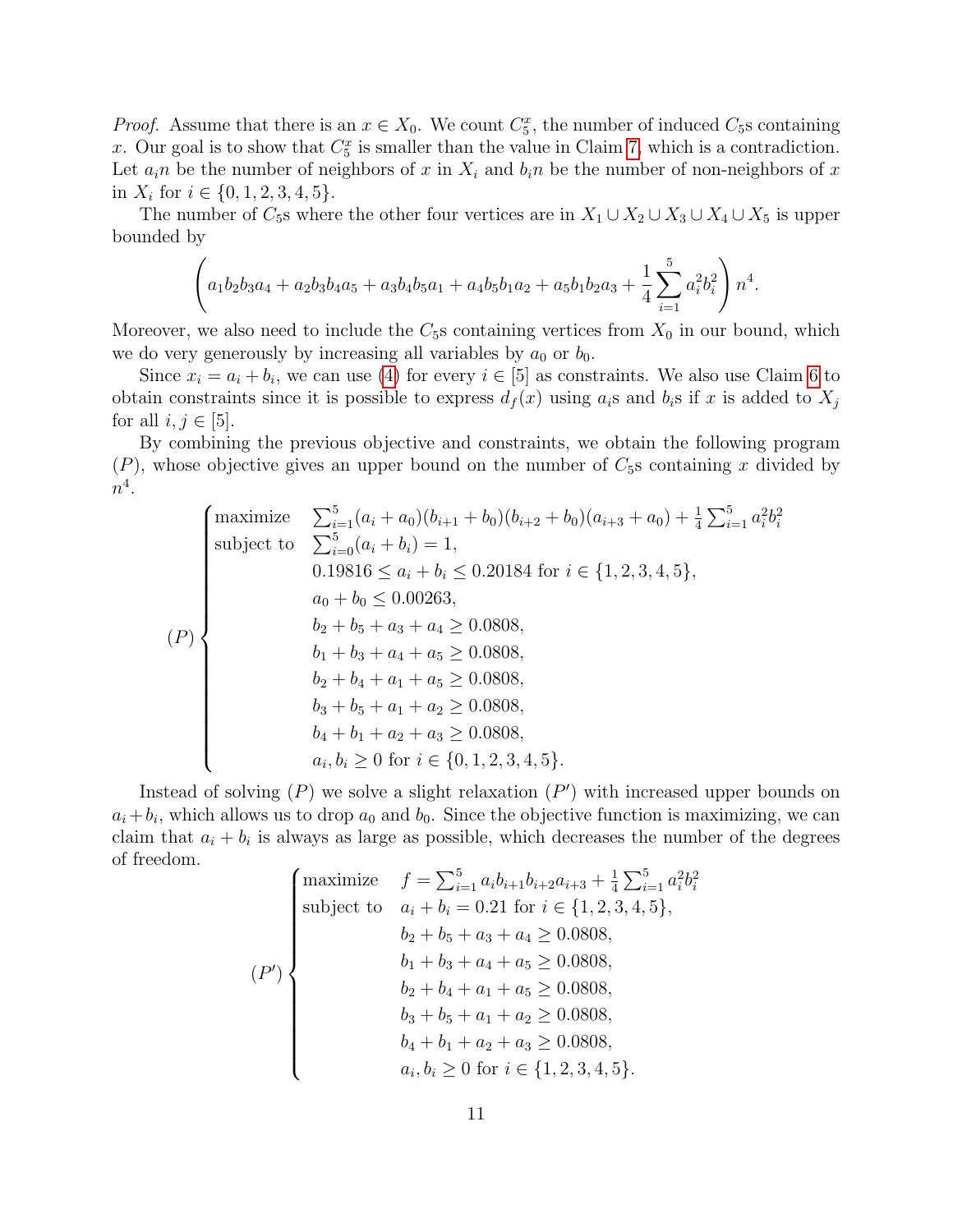*Proof.* Assume that there is an  $x \in X_0$ . We count  $C_5^x$ , the number of induced  $C_5$ s containing x. Our goal is to show that  $C_5^x$  is smaller than the value in Claim [7,](#page-9-1) which is a contradiction. Let  $a_i$  be the number of neighbors of x in  $X_i$  and  $b_i$  be the number of non-neighbors of x in  $X_i$  for  $i \in \{0, 1, 2, 3, 4, 5\}.$ 

The number of  $C_5$ s where the other four vertices are in  $X_1 \cup X_2 \cup X_3 \cup X_4 \cup X_5$  is upper bounded by

$$
\left(a_1b_2b_3a_4 + a_2b_3b_4a_5 + a_3b_4b_5a_1 + a_4b_5b_1a_2 + a_5b_1b_2a_3 + \frac{1}{4}\sum_{i=1}^5 a_i^2b_i^2\right)n^4.
$$

Moreover, we also need to include the  $C_5$ s containing vertices from  $X_0$  in our bound, which we do very generously by increasing all variables by  $a_0$  or  $b_0$ .

Since  $x_i = a_i + b_i$ , we can use [\(4\)](#page-6-0) for every  $i \in [5]$  as constraints. We also use Claim [6](#page-8-0) to obtain constraints since it is possible to express  $d_f(x)$  using  $a_i$ s and  $b_i$ s if x is added to  $X_j$ for all  $i, j \in [5]$ .

By combining the previous objective and constraints, we obtain the following program  $(P)$ , whose objective gives an upper bound on the number of  $C_5$ s containing x divided by  $n^4$ .

$$
(P)
$$
\n
$$
\begin{cases}\n\text{maximize} & \sum_{i=1}^{5} (a_i + a_0)(b_{i+1} + b_0)(b_{i+2} + b_0)(a_{i+3} + a_0) + \frac{1}{4} \sum_{i=1}^{5} a_i^2 b_i^2 \\
\text{subject to} & \sum_{i=0}^{5} (a_i + b_i) = 1, \\
& 0.19816 \le a_i + b_i \le 0.20184 \text{ for } i \in \{1, 2, 3, 4, 5\}, \\
& a_0 + b_0 \le 0.00263, \\
& b_2 + b_5 + a_3 + a_4 \ge 0.0808, \\
& b_1 + b_3 + a_4 + a_5 \ge 0.0808, \\
& b_2 + b_4 + a_1 + a_5 \ge 0.0808, \\
& b_3 + b_5 + a_1 + a_2 \ge 0.0808, \\
& b_4 + b_1 + a_2 + a_3 \ge 0.0808, \\
& a_i, b_i \ge 0 \text{ for } i \in \{0, 1, 2, 3, 4, 5\}.\n\end{cases}
$$

Instead of solving  $(P)$  we solve a slight relaxation  $(P')$  with increased upper bounds on  $a_i + b_i$ , which allows us to drop  $a_0$  and  $b_0$ . Since the objective function is maximizing, we can claim that  $a_i + b_i$  is always as large as possible, which decreases the number of the degrees of freedom.

$$
(P')\n\begin{cases}\n\text{maximize} & f = \sum_{i=1}^{5} a_i b_{i+1} b_{i+2} a_{i+3} + \frac{1}{4} \sum_{i=1}^{5} a_i^2 b_i^2 \\
\text{subject to} & a_i + b_i = 0.21 \text{ for } i \in \{1, 2, 3, 4, 5\}, \\
& b_2 + b_5 + a_3 + a_4 \ge 0.0808, \\
& b_1 + b_3 + a_4 + a_5 \ge 0.0808, \\
& b_2 + b_4 + a_1 + a_5 \ge 0.0808, \\
& b_3 + b_5 + a_1 + a_2 \ge 0.0808, \\
& b_4 + b_1 + a_2 + a_3 \ge 0.0808, \\
& a_i, b_i \ge 0 \text{ for } i \in \{1, 2, 3, 4, 5\}.\n\end{cases}
$$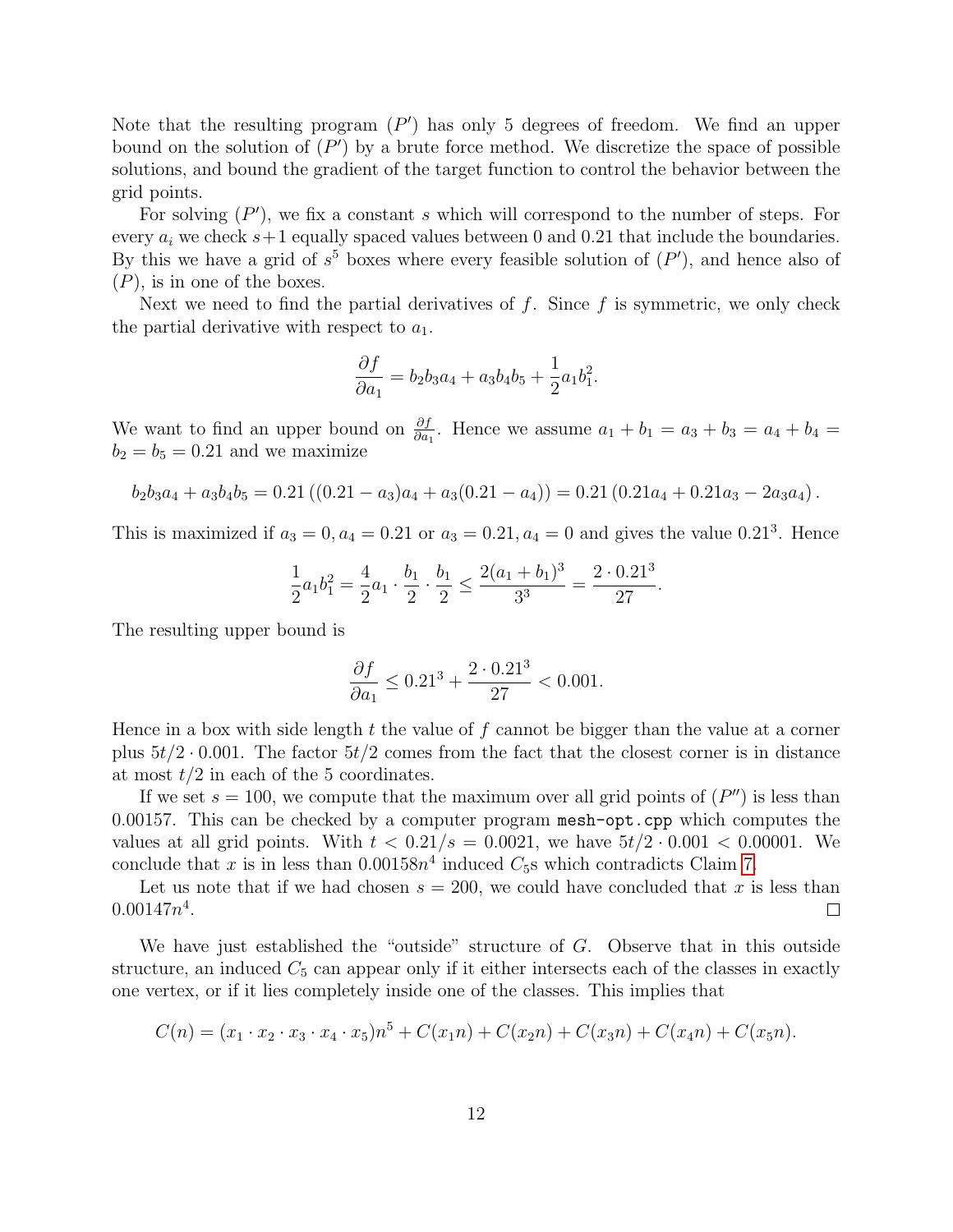Note that the resulting program  $(P')$  has only 5 degrees of freedom. We find an upper bound on the solution of  $(P')$  by a brute force method. We discretize the space of possible solutions, and bound the gradient of the target function to control the behavior between the grid points.

For solving  $(P')$ , we fix a constant s which will correspond to the number of steps. For every  $a_i$  we check  $s+1$  equally spaced values between 0 and 0.21 that include the boundaries. By this we have a grid of  $s^5$  boxes where every feasible solution of  $(P')$ , and hence also of  $(P)$ , is in one of the boxes.

Next we need to find the partial derivatives of  $f$ . Since  $f$  is symmetric, we only check the partial derivative with respect to  $a_1$ .

$$
\frac{\partial f}{\partial a_1} = b_2 b_3 a_4 + a_3 b_4 b_5 + \frac{1}{2} a_1 b_1^2.
$$

We want to find an upper bound on  $\frac{\partial f}{\partial a_1}$ . Hence we assume  $a_1 + b_1 = a_3 + b_3 = a_4 + b_4 = a_5$  $b_2 = b_5 = 0.21$  and we maximize

$$
b_2b_3a_4 + a_3b_4b_5 = 0.21 ((0.21 - a_3)a_4 + a_3(0.21 - a_4)) = 0.21 (0.21a_4 + 0.21a_3 - 2a_3a_4).
$$

This is maximized if  $a_3 = 0, a_4 = 0.21$  or  $a_3 = 0.21, a_4 = 0$  and gives the value 0.21<sup>3</sup>. Hence

$$
\frac{1}{2}a_1b_1^2 = \frac{4}{2}a_1 \cdot \frac{b_1}{2} \cdot \frac{b_1}{2} \le \frac{2(a_1 + b_1)^3}{3^3} = \frac{2 \cdot 0.21^3}{27}.
$$

The resulting upper bound is

$$
\frac{\partial f}{\partial a_1} \le 0.21^3 + \frac{2 \cdot 0.21^3}{27} < 0.001.
$$

Hence in a box with side length  $t$  the value of  $f$  cannot be bigger than the value at a corner plus  $5t/2 \cdot 0.001$ . The factor  $5t/2$  comes from the fact that the closest corner is in distance at most  $t/2$  in each of the 5 coordinates.

If we set  $s = 100$ , we compute that the maximum over all grid points of  $(P'')$  is less than 0.00157. This can be checked by a computer program mesh-opt.cpp which computes the values at all grid points. With  $t < 0.21/s = 0.0021$ , we have  $5t/2 \cdot 0.001 < 0.00001$ . We conclude that x is in less than  $0.00158n^4$  induced  $C_5$ s which contradicts Claim [7.](#page-9-1)

Let us note that if we had chosen  $s = 200$ , we could have concluded that x is less than  $0.00147n^4$ .  $\Box$ 

We have just established the "outside" structure of G. Observe that in this outside structure, an induced  $C_5$  can appear only if it either intersects each of the classes in exactly one vertex, or if it lies completely inside one of the classes. This implies that

$$
C(n) = (x_1 \cdot x_2 \cdot x_3 \cdot x_4 \cdot x_5)n^5 + C(x_1n) + C(x_2n) + C(x_3n) + C(x_4n) + C(x_5n).
$$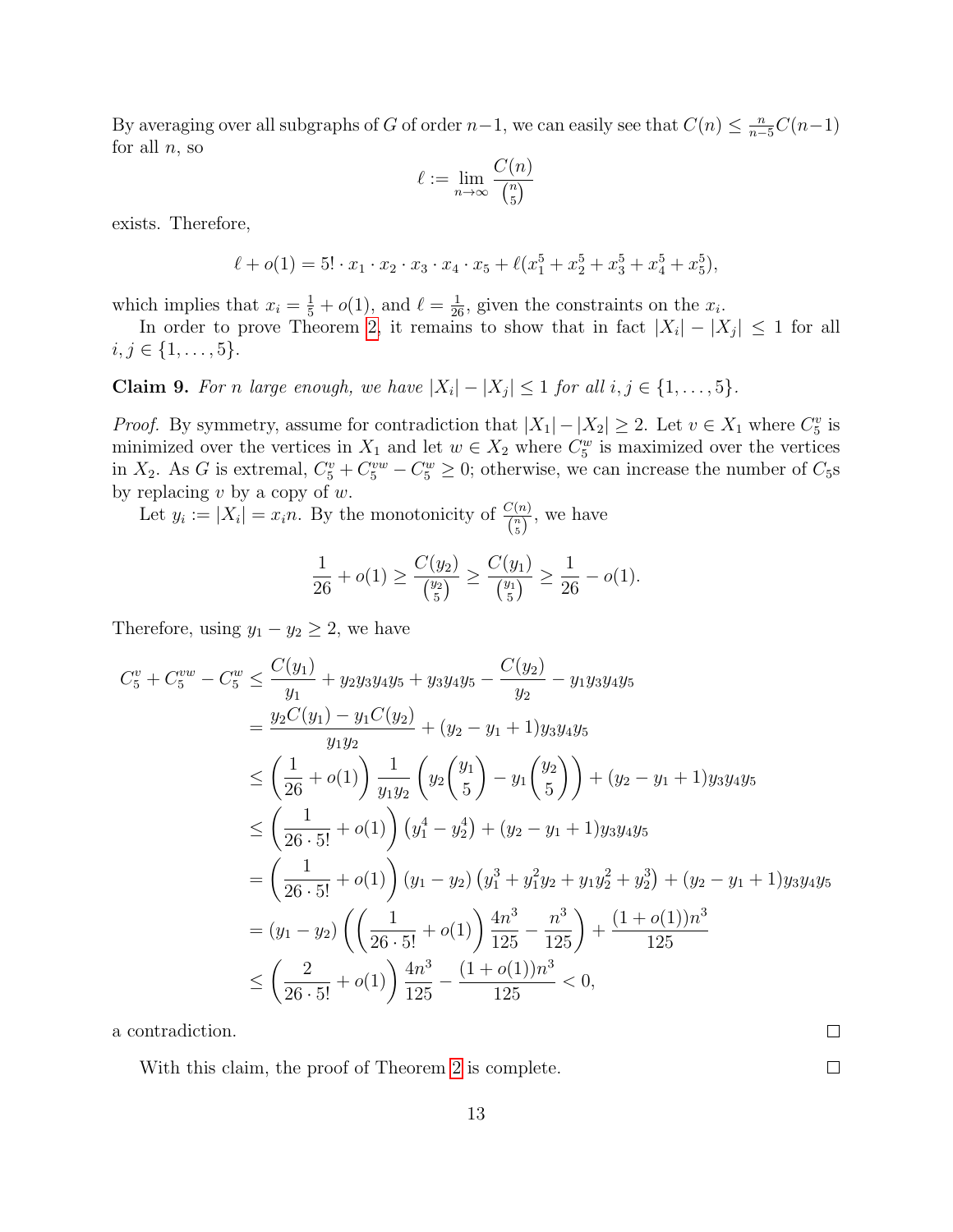By averaging over all subgraphs of G of order  $n-1$ , we can easily see that  $C(n) \leq \frac{n}{n-5}C(n-1)$ for all  $n$ , so

$$
\ell := \lim_{n \to \infty} \frac{C(n)}{\binom{n}{5}}
$$

exists. Therefore,

$$
\ell + o(1) = 5! \cdot x_1 \cdot x_2 \cdot x_3 \cdot x_4 \cdot x_5 + \ell(x_1^5 + x_2^5 + x_3^5 + x_4^5 + x_5^5),
$$

which implies that  $x_i = \frac{1}{5} + o(1)$ , and  $\ell = \frac{1}{26}$ , given the constraints on the  $x_i$ .

In order to prove Theorem [2,](#page-5-0) it remains to show that in fact  $|X_i| - |X_j| \leq 1$  for all  $i, j \in \{1, \ldots, 5\}.$ 

**Claim 9.** For n large enough, we have  $|X_i| - |X_j| \leq 1$  for all  $i, j \in \{1, ..., 5\}$ .

*Proof.* By symmetry, assume for contradiction that  $|X_1| - |X_2| \geq 2$ . Let  $v \in X_1$  where  $C_5^v$  is minimized over the vertices in  $X_1$  and let  $w \in X_2$  where  $C_5^w$  is maximized over the vertices in  $X_2$ . As G is extremal,  $C_5^v + C_5^{vw} - C_5^w \ge 0$ ; otherwise, we can increase the number of  $C_5$ s by replacing  $v$  by a copy of  $w$ .

Let  $y_i := |X_i| = x_i n$ . By the monotonicity of  $\frac{C(n)}{\binom{n}{5}}$ , we have

$$
\frac{1}{26} + o(1) \ge \frac{C(y_2)}{\binom{y_2}{5}} \ge \frac{C(y_1)}{\binom{y_1}{5}} \ge \frac{1}{26} - o(1).
$$

Therefore, using  $y_1 - y_2 \geq 2$ , we have

$$
C_5^v + C_5^{vw} - C_5^w \le \frac{C(y_1)}{y_1} + y_2 y_3 y_4 y_5 + y_3 y_4 y_5 - \frac{C(y_2)}{y_2} - y_1 y_3 y_4 y_5
$$
  
\n
$$
= \frac{y_2 C(y_1) - y_1 C(y_2)}{y_1 y_2} + (y_2 - y_1 + 1) y_3 y_4 y_5
$$
  
\n
$$
\le \left(\frac{1}{26} + o(1)\right) \frac{1}{y_1 y_2} \left(y_2 \left(\frac{y_1}{5}\right) - y_1 \left(\frac{y_2}{5}\right)\right) + (y_2 - y_1 + 1) y_3 y_4 y_5
$$
  
\n
$$
\le \left(\frac{1}{26 \cdot 5!} + o(1)\right) \left(y_1^4 - y_2^4\right) + (y_2 - y_1 + 1) y_3 y_4 y_5
$$
  
\n
$$
= \left(\frac{1}{26 \cdot 5!} + o(1)\right) (y_1 - y_2) \left(y_1^3 + y_1^2 y_2 + y_1 y_2^2 + y_2^3\right) + (y_2 - y_1 + 1) y_3 y_4 y_5
$$
  
\n
$$
= (y_1 - y_2) \left(\left(\frac{1}{26 \cdot 5!} + o(1)\right) \frac{4n^3}{125} - \frac{n^3}{125}\right) + \frac{(1 + o(1))n^3}{125}
$$
  
\n
$$
\le \left(\frac{2}{26 \cdot 5!} + o(1)\right) \frac{4n^3}{125} - \frac{(1 + o(1))n^3}{125} < 0,
$$

a contradiction.

With this claim, the proof of Theorem [2](#page-1-2) is complete.

 $\Box$  $\Box$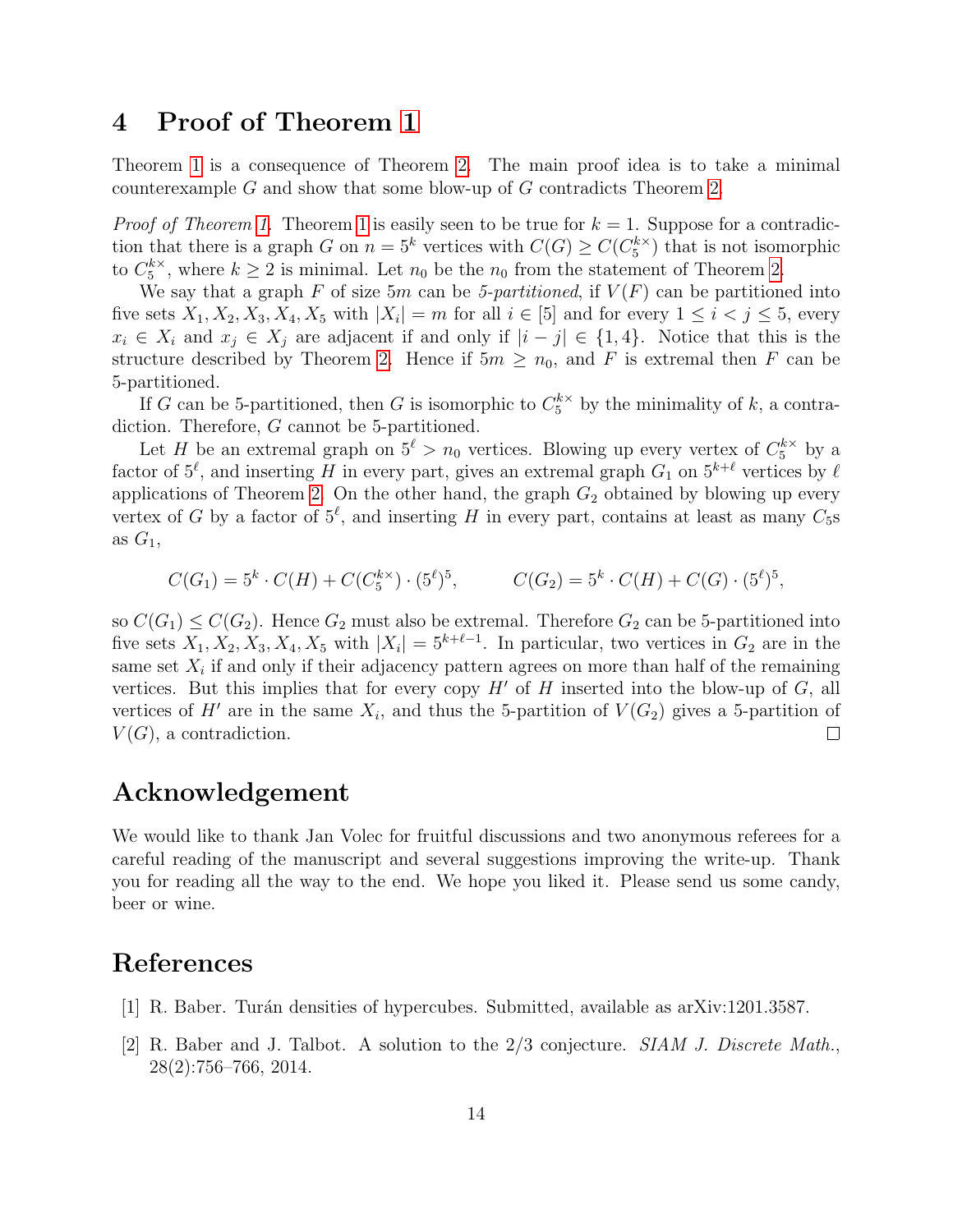### <span id="page-13-0"></span>4 Proof of Theorem [1](#page-1-1)

Theorem [1](#page-1-1) is a consequence of Theorem [2.](#page-1-2) The main proof idea is to take a minimal counterexample  $G$  and show that some blow-up of  $G$  contradicts Theorem [2.](#page-1-2)

*Proof of Theorem [1.](#page-1-1)* Theorem [1](#page-1-1) is easily seen to be true for  $k = 1$ . Suppose for a contradiction that there is a graph G on  $n = 5^k$  vertices with  $C(G) \geq C(C_5^{k \times k})$  $\binom{k}{5}$  that is not isomorphic to  $C_5^{k\times}$  $_{5}^{k\times}$ , where  $k\geq 2$  is minimal. Let  $n_0$  be the  $n_0$  from the statement of Theorem [2.](#page-1-2)

We say that a graph F of size 5m can be 5-partitioned, if  $V(F)$  can be partitioned into five sets  $X_1, X_2, X_3, X_4, X_5$  with  $|X_i| = m$  for all  $i \in [5]$  and for every  $1 \le i < j \le 5$ , every  $x_i \in X_i$  and  $x_j \in X_j$  are adjacent if and only if  $|i - j| \in \{1, 4\}$ . Notice that this is the structure described by Theorem [2.](#page-1-2) Hence if  $5m \geq n_0$ , and F is extremal then F can be 5-partitioned.

If G can be 5-partitioned, then G is isomorphic to  $C_5^{k\times}$  by the minimality of k, a contradiction. Therefore, G cannot be 5-partitioned.

Let H be an extremal graph on  $5^{\ell} > n_0$  vertices. Blowing up every vertex of  $C_5^{k \times}$  by a factor of  $5^{\ell}$ , and inserting H in every part, gives an extremal graph  $G_1$  on  $5^{k+\ell}$  vertices by  $\ell$ applications of Theorem [2.](#page-1-2) On the other hand, the graph  $G_2$  obtained by blowing up every vertex of G by a factor of  $5^{\ell}$ , and inserting H in every part, contains at least as many  $C_5$ s as  $G_1$ ,

$$
C(G_1) = 5^k \cdot C(H) + C(C_5^{k \times}) \cdot (5^{\ell})^5, \qquad C(G_2) = 5^k \cdot C(H) + C(G) \cdot (5^{\ell})^5,
$$

so  $C(G_1) \leq C(G_2)$ . Hence  $G_2$  must also be extremal. Therefore  $G_2$  can be 5-partitioned into five sets  $X_1, X_2, X_3, X_4, X_5$  with  $|X_i| = 5^{k+\ell-1}$ . In particular, two vertices in  $G_2$  are in the same set  $X_i$  if and only if their adjacency pattern agrees on more than half of the remaining vertices. But this implies that for every copy  $H'$  of H inserted into the blow-up of  $G$ , all vertices of H<sup>t</sup> are in the same  $X_i$ , and thus the 5-partition of  $V(G_2)$  gives a 5-partition of  $V(G)$ , a contradiction.  $\Box$ 

#### Acknowledgement

We would like to thank Jan Volec for fruitful discussions and two anonymous referees for a careful reading of the manuscript and several suggestions improving the write-up. Thank you for reading all the way to the end. We hope you liked it. Please send us some candy, beer or wine.

#### References

- <span id="page-13-1"></span>[1] R. Baber. Turán densities of hypercubes. Submitted, available as arXiv:1201.3587.
- <span id="page-13-2"></span>[2] R. Baber and J. Talbot. A solution to the 2/3 conjecture. SIAM J. Discrete Math., 28(2):756–766, 2014.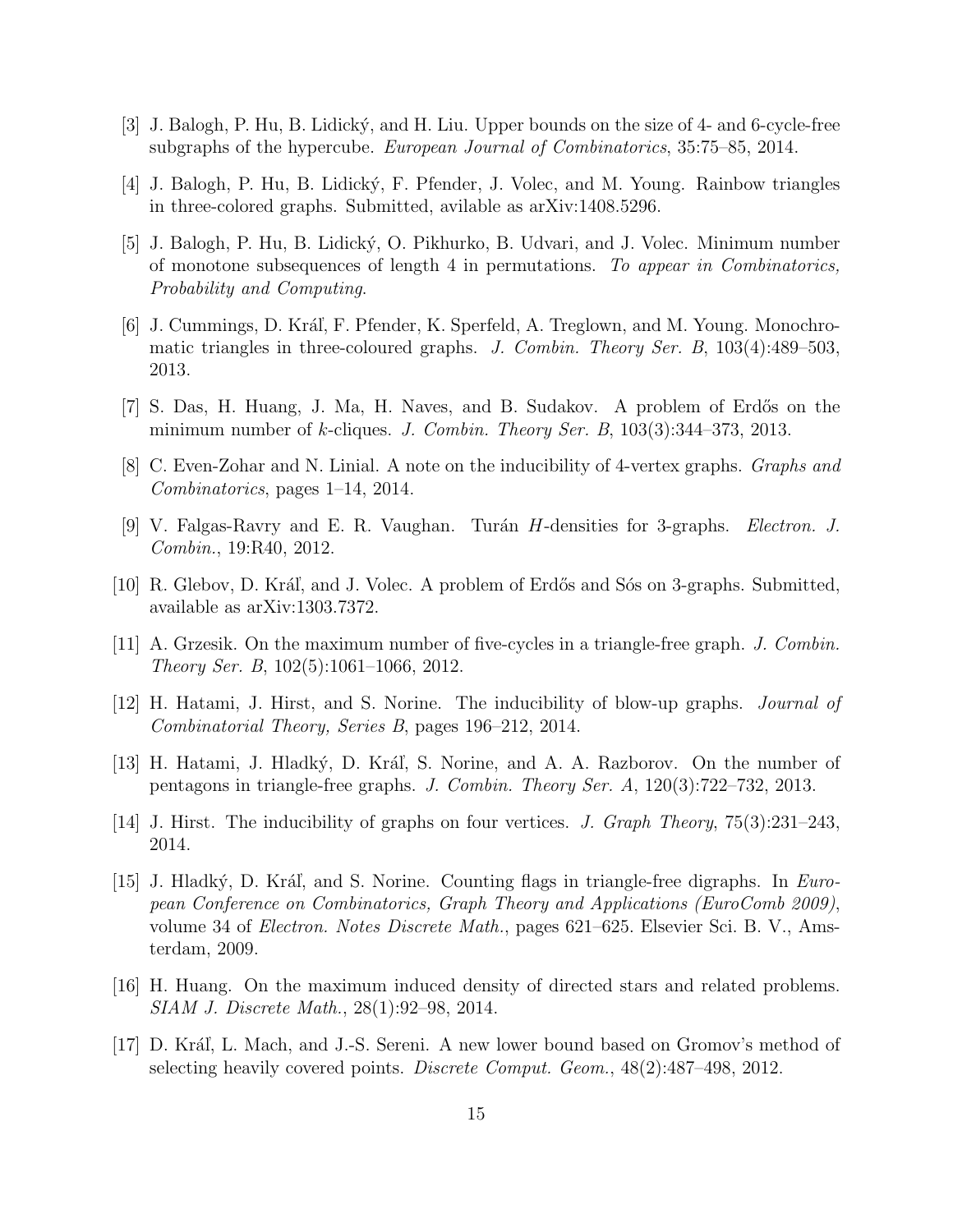- <span id="page-14-9"></span>[3] J. Balogh, P. Hu, B. Lidick´y, and H. Liu. Upper bounds on the size of 4- and 6-cycle-free subgraphs of the hypercube. European Journal of Combinatorics, 35:75–85, 2014.
- <span id="page-14-2"></span>[4] J. Balogh, P. Hu, B. Lidický, F. Pfender, J. Volec, and M. Young. Rainbow triangles in three-colored graphs. Submitted, avilable as arXiv:1408.5296.
- <span id="page-14-12"></span>[5] J. Balogh, P. Hu, B. Lidick´y, O. Pikhurko, B. Udvari, and J. Volec. Minimum number of monotone subsequences of length 4 in permutations. To appear in Combinatorics, Probability and Computing.
- <span id="page-14-10"></span>[6] J. Cummings, D. Kráľ, F. Pfender, K. Sperfeld, A. Treglown, and M. Young. Monochromatic triangles in three-coloured graphs. J. Combin. Theory Ser. B, 103(4):489–503, 2013.
- <span id="page-14-4"></span>[7] S. Das, H. Huang, J. Ma, H. Naves, and B. Sudakov. A problem of Erdős on the minimum number of k-cliques. J. Combin. Theory Ser. B,  $103(3):344-373$ ,  $2013$ .
- <span id="page-14-0"></span>[8] C. Even-Zohar and N. Linial. A note on the inducibility of 4-vertex graphs. Graphs and Combinatorics, pages 1–14, 2014.
- <span id="page-14-7"></span>[9] V. Falgas-Ravry and E. R. Vaughan. Turán H-densities for 3-graphs. Electron. J. Combin., 19:R40, 2012.
- <span id="page-14-8"></span>[10] R. Glebov, D. Kráľ, and J. Volec. A problem of Erdős and Sós on 3-graphs. Submitted, available as arXiv:1303.7372.
- <span id="page-14-5"></span>[11] A. Grzesik. On the maximum number of five-cycles in a triangle-free graph. J. Combin. Theory Ser. B, 102(5):1061–1066, 2012.
- <span id="page-14-13"></span>[12] H. Hatami, J. Hirst, and S. Norine. The inducibility of blow-up graphs. Journal of Combinatorial Theory, Series B, pages 196–212, 2014.
- <span id="page-14-6"></span>[13] H. Hatami, J. Hladký, D. Kráľ, S. Norine, and A. A. Razborov. On the number of pentagons in triangle-free graphs. J. Combin. Theory Ser. A, 120(3):722–732, 2013.
- <span id="page-14-1"></span>[14] J. Hirst. The inducibility of graphs on four vertices. J. Graph Theory, 75(3):231–243, 2014.
- <span id="page-14-3"></span>[15] J. Hladký, D. Kráľ, and S. Norine. Counting flags in triangle-free digraphs. In European Conference on Combinatorics, Graph Theory and Applications (EuroComb 2009), volume 34 of Electron. Notes Discrete Math., pages 621–625. Elsevier Sci. B. V., Amsterdam, 2009.
- <span id="page-14-14"></span>[16] H. Huang. On the maximum induced density of directed stars and related problems. SIAM J. Discrete Math., 28(1):92–98, 2014.
- <span id="page-14-11"></span>[17] D. Kráľ, L. Mach, and J.-S. Sereni. A new lower bound based on Gromov's method of selecting heavily covered points. Discrete Comput. Geom., 48(2):487–498, 2012.